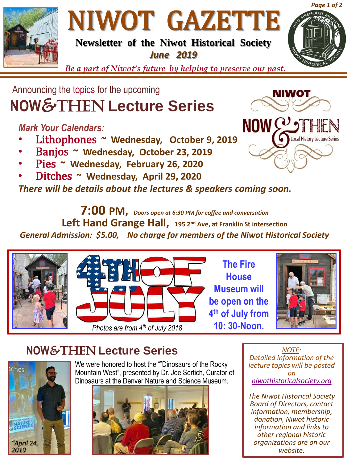

# NIWOT GAZETTE

**Newsletter of the Niwot Historical Society** *June 2019*



*Be a part of Niwot's future by helping to preserve our past.*

## **NOW**&Then **Lecture Series**  Announcing the topics for the upcoming

### *Mark Your Calendars:*

- Lithophones **~ Wednesday, October 9, 2019**
- Banjos **~ Wednesday, October 23, 2019**
- Pies **~ Wednesday, February 26, 2020**
- Ditches **~ Wednesday, April 29, 2020**

*There will be details about the lectures & speakers coming soon.*

**7:00 PM,** *Doors open at 6:30 PM for coffee and conversation* **Left Hand Grange Hall, 195 2nd Ave, at Franklin St intersection** *General Admission: \$5.00, No charge for members of the Niwot Historical Society* 





**The Fire House Museum will be open on the 4 th of July from** 



## **NOW**&Then **Lecture Series**



We were honored to host the ""Dinosaurs of the Rocky Mountain West", presented by Dr. Joe Sertich, Curator of Dinosaurs at the Denver Nature and Science Museum.



*NOTE: Detailed information of the lecture topics will be posted on [niwothistoricalsociety.org](http://www.niwothistoricalsociety.org/)*

*The Niwot Historical Society Board of Directors, contact information, membership, donation, Niwot historic information and links to other regional historic organizations are on our website.*



NIW01